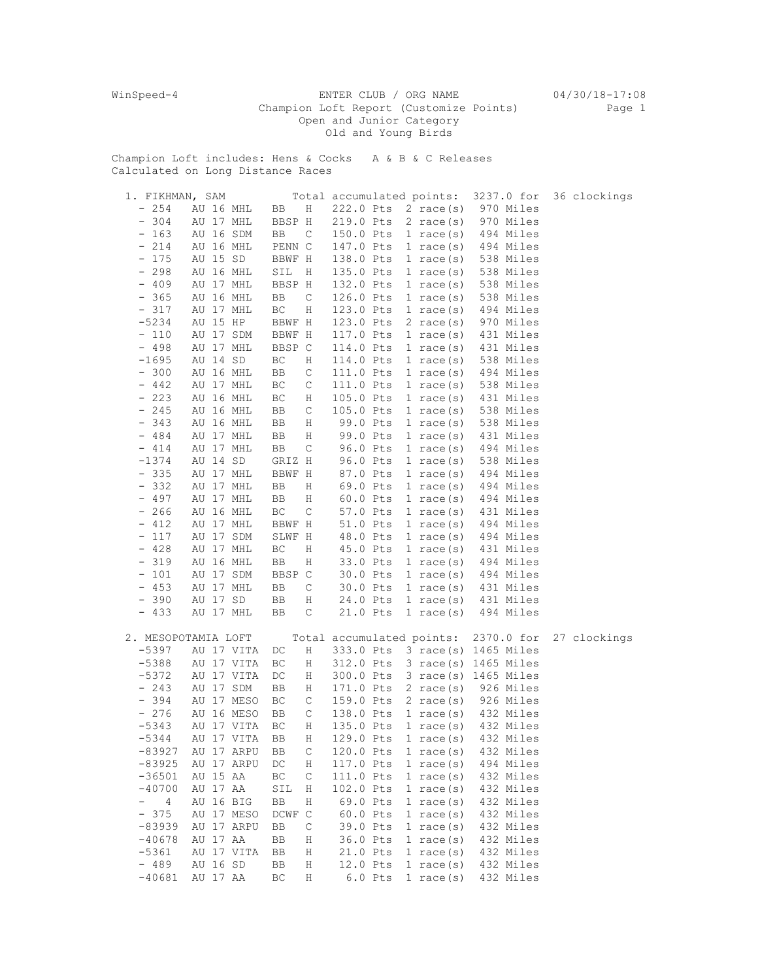WinSpeed-4 ENTER CLUB / ORG NAME 04/30/18-17:08 Champion Loft Report (Customize Points) Page 1 Open and Junior Category Old and Young Birds

Champion Loft includes: Hens & Cocks A & B & C Releases Calculated on Long Distance Races

| 1. FIKHMAN, SAM                 |                     |                          |           | Total accumulated points: | 3237.0 for                     | 36 clockings |
|---------------------------------|---------------------|--------------------------|-----------|---------------------------|--------------------------------|--------------|
| $-254$                          | AU 16 MHL           | BB<br>$\rm H$            | 222.0 Pts | 2 race $(s)$              | 970 Miles                      |              |
| $-304$                          | AU 17 MHL           | BBSP H                   | 219.0 Pts | $2 \text{ race}(s)$       | 970 Miles                      |              |
| $-163$                          | AU 16 SDM           | BB<br>C                  | 150.0 Pts | $1 \text{ race}(s)$       | 494 Miles                      |              |
| $-214$                          | AU 16 MHL           | PENN C                   | 147.0 Pts | $1 \text{ race}(s)$       | 494 Miles                      |              |
| $-175$                          | AU 15 SD            | BBWF H                   | 138.0 Pts | $1$ race (s)              | 538 Miles                      |              |
| $-298$                          | AU 16 MHL           | SIL<br>H                 | 135.0 Pts | 1 race(s)                 | 538 Miles                      |              |
| $-409$                          | AU 17 MHL           | BBSP H                   | 132.0 Pts | $1 \text{ race}(s)$       | 538 Miles                      |              |
| 365<br>$\overline{\phantom{a}}$ | AU 16 MHL           | BB<br>C                  | 126.0 Pts | $1 \text{ race}(s)$       | 538 Miles                      |              |
| $-317$                          | AU 17 MHL           | ВC<br>Η                  | 123.0 Pts | $1 \text{ race}(s)$       | 494 Miles                      |              |
| $-5234$                         | AU 15 HP            | BBWF H                   | 123.0 Pts | $2 \text{ race}(s)$       | 970 Miles                      |              |
| $-110$                          | AU 17 SDM           | BBWF H                   | 117.0 Pts | $1 \text{ race}(s)$       | 431 Miles                      |              |
| $-498$                          | AU 17 MHL           | BBSP C                   | 114.0 Pts | $1 \text{ race}(s)$       | 431 Miles                      |              |
| $-1695$                         | AU 14 SD            | $\operatorname{BC}$<br>Η | 114.0 Pts | $1 \text{ race}(s)$       | 538 Miles                      |              |
| $-300$                          | AU 16 MHL           | C<br>BB                  | 111.0 Pts | 1 race $(s)$              | 494 Miles                      |              |
| $-442$                          | AU 17 MHL           | C<br>ВC                  | 111.0 Pts | $1$ race (s)              | 538 Miles                      |              |
| $-223$                          | AU 16 MHL           | ВC<br>Η                  | 105.0 Pts | 1 race(s)                 | 431 Miles                      |              |
| $-245$                          | AU 16 MHL           | C<br>BB                  | 105.0 Pts | $1 \text{ race}(s)$       | 538 Miles                      |              |
| $-343$                          | AU 16 MHL           | BB<br>Η                  | 99.0 Pts  | 1 race $(s)$              | 538 Miles                      |              |
| $-484$                          | AU 17 MHL           | BB<br>Η                  | 99.0 Pts  | $1 \text{ race}(s)$       | 431 Miles                      |              |
| $-414$                          | AU 17 MHL           | BB<br>С                  | 96.0 Pts  | $1 \text{ race}(s)$       | 494 Miles                      |              |
| $-1374$                         | AU 14 SD            | GRIZ H                   | 96.0 Pts  | $1 \text{ race}(s)$       | 538 Miles                      |              |
| $-335$                          | AU 17 MHL           | BBWF H                   | 87.0 Pts  | $1 \text{ race}(s)$       | 494 Miles                      |              |
| $-332$                          | AU 17 MHL           | BB<br>Η                  | 69.0 Pts  |                           | 494 Miles                      |              |
| $-497$                          | AU 17 MHL           |                          |           | $1 \text{ race}(s)$       | 494 Miles                      |              |
|                                 |                     | BB<br>Η                  | 60.0 Pts  | $1 \text{ race}(s)$       |                                |              |
| $-266$                          | AU 16 MHL           | ВC<br>$\mathsf C$        | 57.0 Pts  | $1 \text{ race}(s)$       | 431 Miles                      |              |
| $-412$                          | AU 17 MHL           | BBWF H                   | 51.0 Pts  | $1 \text{ race}(s)$       | 494 Miles                      |              |
| $-117$                          | AU 17 SDM           | SLWF H                   | 48.0 Pts  | $1 \text{ race}(s)$       | 494 Miles                      |              |
| $-428$                          | AU 17 MHL           | ВC<br>Η                  | 45.0 Pts  | $1 \text{ race}(s)$       | 431 Miles                      |              |
| $-319$                          | AU 16 MHL           | BB<br>Η                  | 33.0 Pts  | $1 \text{ race}(s)$       | 494 Miles                      |              |
| $-101$                          | AU 17 SDM           | BBSP C                   | 30.0 Pts  | $1 \text{ race}(s)$       | 494 Miles                      |              |
| $-453$                          | AU 17 MHL           | $\mathsf C$<br>BB        | 30.0 Pts  | $1 \text{ race}(s)$       | 431 Miles                      |              |
| $-390$                          | AU 17 SD            | ВB<br>Η                  | 24.0 Pts  | $1 \text{ race}(s)$       | 431 Miles                      |              |
| $-433$                          | AU 17 MHL           | C<br>BB                  | 21.0 Pts  | $1 \text{ race}(s)$       | 494 Miles                      |              |
|                                 | 2. MESOPOTAMIA LOFT |                          |           | Total accumulated points: | 2370.0 for                     | 27 clockings |
| $-5397$                         | AU 17 VITA          | Η<br>DC                  | 333.0 Pts |                           | 3 race(s) 1465 Miles           |              |
| $-5388$                         | AU 17 VITA          | ВC<br>Η                  |           |                           | 312.0 Pts 3 race(s) 1465 Miles |              |
| $-5372$                         | AU 17 VITA          | DC<br>Η                  | 300.0 Pts |                           | 3 race(s) 1465 Miles           |              |
| $-243$                          | AU 17 SDM           | BB<br>Η                  | 171.0 Pts | $2 \text{ race(s)}$       | 926 Miles                      |              |
| $-394$                          | AU 17 MESO          | ВC<br>С                  | 159.0 Pts | $2 \text{ race(s)}$       | 926 Miles                      |              |
| $-276$                          | AU 16 MESO          | C<br>BB                  | 138.0 Pts | $1 \text{ race}(s)$       | 432 Miles                      |              |
| $-5343$                         | AU 17 VITA          | ВC<br>Η                  | 135.0 Pts | 1 race $(s)$              | 432 Miles                      |              |
| $-5344$                         | AU 17 VITA          | Η<br>BB                  | 129.0 Pts | $1 \text{ race}(s)$       | 432 Miles                      |              |
| $-83927$                        | AU 17 ARPU          | ВB<br>C                  | 120.0 Pts | 1 race $(s)$              | 432 Miles                      |              |
| $-83925$                        | AU 17 ARPU          | $\rm H$<br>DC            | 117.0 Pts | $1 \text{ race}(s)$       | 494 Miles                      |              |
| $-36501$                        | AU 15 AA            | $\mathsf{C}$<br>ВC       | 111.0 Pts | $1 \text{ race}(s)$       | 432 Miles                      |              |
| $-40700$                        | AU 17 AA            | SIL<br>Η                 | 102.0 Pts | 1 race $(s)$              | 432 Miles                      |              |
| 4<br>$-$                        | AU 16 BIG           | BB<br>Η                  | 69.0 Pts  | 1 race $(s)$              | 432 Miles                      |              |
| $-375$                          | AU 17 MESO          | DCWF C                   | 60.0 Pts  | $1 \text{ race}(s)$       | 432 Miles                      |              |
| $-83939$                        | AU 17 ARPU          | ВB<br>С                  | 39.0 Pts  | $1 \text{ race}(s)$       | 432 Miles                      |              |
| $-40678$                        | AU 17 AA            | ВB<br>Η                  | 36.0 Pts  | $1 \text{ race}(s)$       | 432 Miles                      |              |
| $-5361$                         | AU 17 VITA          | ВB<br>Η                  | 21.0 Pts  | 1 race $(s)$              | 432 Miles                      |              |
| $-489$                          | AU 16 SD            | Η<br>ВB                  | 12.0 Pts  | $1$ race(s)               | 432 Miles                      |              |
| $-40681$                        | AU 17 AA            | $\operatorname{BC}$<br>Η | $6.0$ Pts | 1 race $(s)$              | 432 Miles                      |              |
|                                 |                     |                          |           |                           |                                |              |